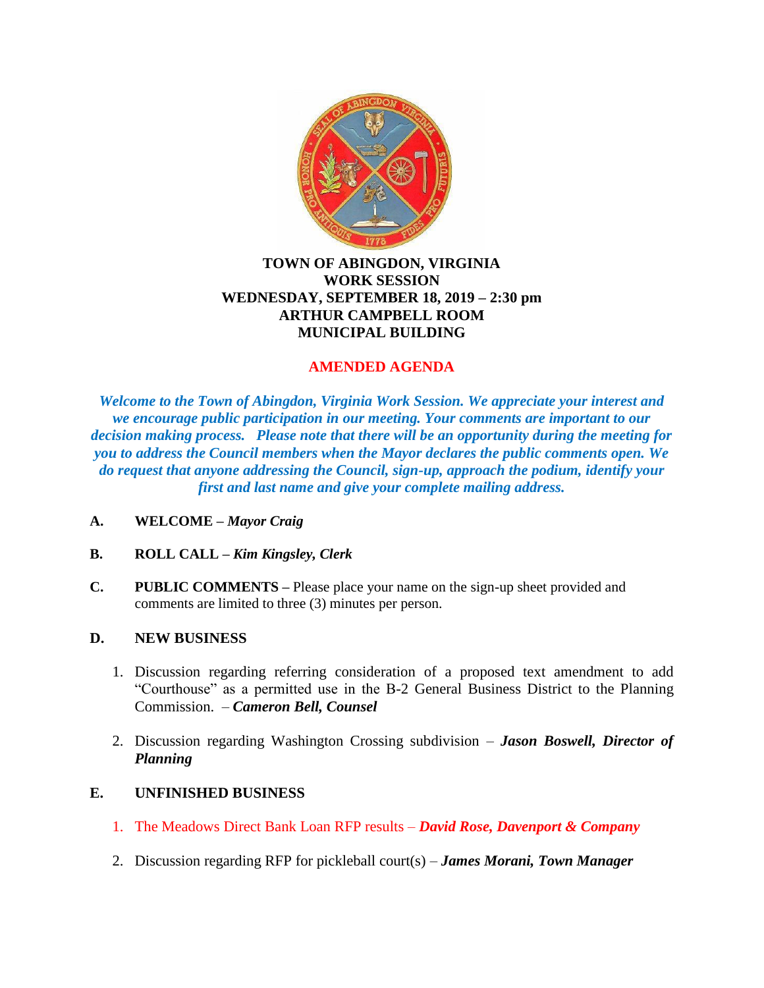

## **TOWN OF ABINGDON, VIRGINIA WORK SESSION WEDNESDAY, SEPTEMBER 18, 2019 – 2:30 pm ARTHUR CAMPBELL ROOM MUNICIPAL BUILDING**

# **AMENDED AGENDA**

*Welcome to the Town of Abingdon, Virginia Work Session. We appreciate your interest and we encourage public participation in our meeting. Your comments are important to our decision making process. Please note that there will be an opportunity during the meeting for you to address the Council members when the Mayor declares the public comments open. We do request that anyone addressing the Council, sign-up, approach the podium, identify your first and last name and give your complete mailing address.*

- **A. WELCOME –** *Mayor Craig*
- **B. ROLL CALL –** *Kim Kingsley, Clerk*
- **C. PUBLIC COMMENTS –** Please place your name on the sign-up sheet provided and comments are limited to three (3) minutes per person.

## **D. NEW BUSINESS**

- 1. Discussion regarding referring consideration of a proposed text amendment to add "Courthouse" as a permitted use in the B-2 General Business District to the Planning Commission. – *Cameron Bell, Counsel*
- 2. Discussion regarding Washington Crossing subdivision *Jason Boswell, Director of Planning*

## **E. UNFINISHED BUSINESS**

- 1. The Meadows Direct Bank Loan RFP results *David Rose, Davenport & Company*
- 2. Discussion regarding RFP for pickleball court(s) *James Morani, Town Manager*